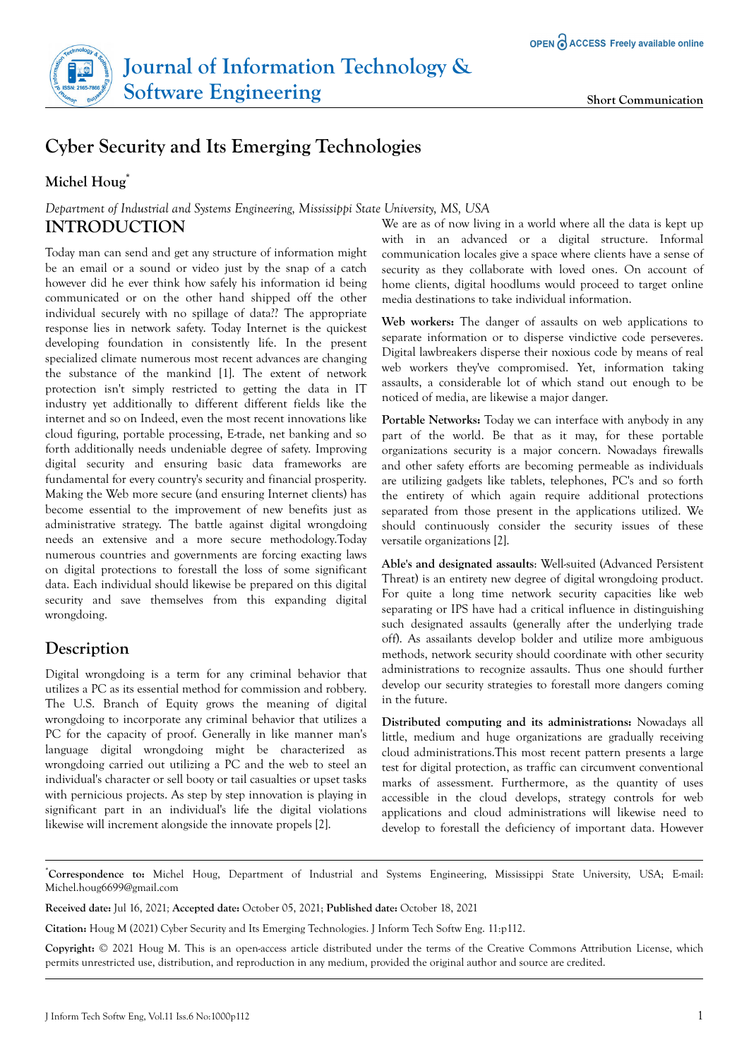# **Journal of Information Technology & Software Engineering Short Communication**

# **Cyber Security and Its Emerging Technologies**

#### **Michel Houg\***

*Department of Industrial and Systems Engineering, Mississippi State University, MS, USA* **INTRODUCTION**

Today man can send and get any structure of information might be an email or a sound or video just by the snap of a catch however did he ever think how safely his information id being communicated or on the other hand shipped off the other individual securely with no spillage of data?? The appropriate response lies in network safety. Today Internet is the quickest developing foundation in consistently life. In the present specialized climate numerous most recent advances are changing the substance of the mankind [1]. The extent of network protection isn't simply restricted to getting the data in IT industry yet additionally to different different fields like the internet and so on Indeed, even the most recent innovations like cloud figuring, portable processing, E-trade, net banking and so forth additionally needs undeniable degree of safety. Improving digital security and ensuring basic data frameworks are fundamental for every country's security and financial prosperity. Making the Web more secure (and ensuring Internet clients) has become essential to the improvement of new benefits just as administrative strategy. The battle against digital wrongdoing needs an extensive and a more secure methodology.Today numerous countries and governments are forcing exacting laws on digital protections to forestall the loss of some significant data. Each individual should likewise be prepared on this digital security and save themselves from this expanding digital wrongdoing.

#### **Description**

Digital wrongdoing is a term for any criminal behavior that utilizes a PC as its essential method for commission and robbery. The U.S. Branch of Equity grows the meaning of digital wrongdoing to incorporate any criminal behavior that utilizes a PC for the capacity of proof. Generally in like manner man's language digital wrongdoing might be characterized as wrongdoing carried out utilizing a PC and the web to steel an individual's character or sell booty or tail casualties or upset tasks with pernicious projects. As step by step innovation is playing in significant part in an individual's life the digital violations likewise will increment alongside the innovate propels [2].

We are as of now living in a world where all the data is kept up with in an advanced or a digital structure. Informal communication locales give a space where clients have a sense of security as they collaborate with loved ones. On account of home clients, digital hoodlums would proceed to target online media destinations to take individual information.

**Web workers:** The danger of assaults on web applications to separate information or to disperse vindictive code perseveres. Digital lawbreakers disperse their noxious code by means of real web workers they've compromised. Yet, information taking assaults, a considerable lot of which stand out enough to be noticed of media, are likewise a major danger.

**Portable Networks:** Today we can interface with anybody in any part of the world. Be that as it may, for these portable organizations security is a major concern. Nowadays firewalls and other safety efforts are becoming permeable as individuals are utilizing gadgets like tablets, telephones, PC's and so forth the entirety of which again require additional protections separated from those present in the applications utilized. We should continuously consider the security issues of these versatile organizations [2].

**Able's and designated assaults**: Well-suited (Advanced Persistent Threat) is an entirety new degree of digital wrongdoing product. For quite a long time network security capacities like web separating or IPS have had a critical influence in distinguishing such designated assaults (generally after the underlying trade off). As assailants develop bolder and utilize more ambiguous methods, network security should coordinate with other security administrations to recognize assaults. Thus one should further develop our security strategies to forestall more dangers coming in the future.

**Distributed computing and its administrations:** Nowadays all little, medium and huge organizations are gradually receiving cloud administrations.This most recent pattern presents a large test for digital protection, as traffic can circumvent conventional marks of assessment. Furthermore, as the quantity of uses accessible in the cloud develops, strategy controls for web applications and cloud administrations will likewise need to develop to forestall the deficiency of important data. However

\***Correspondence to:** Michel Houg, Department of Industrial and Systems Engineering, Mississippi State University, USA; E-mail: Michel.houg6699@gmail.com

**Received date:** Jul 16, 2021*;* **Accepted date:** October 05, 2021; **Published date:** October 18, 2021

**Citation:** Houg M (2021) Cyber Security and Its Emerging Technologies. J Inform Tech Softw Eng. 11:p112.

**Copyright:** © 2021 Houg M. This is an open-access article distributed under the terms of the Creative Commons Attribution License, which permits unrestricted use, distribution, and reproduction in any medium, provided the original author and source are credited.